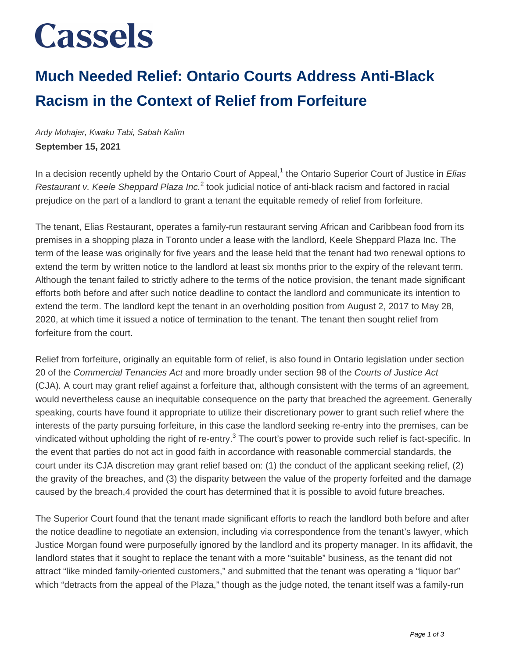# **Cassels**

### **Much Needed Relief: Ontario Courts Address Anti-Black Racism in the Context of Relief from Forfeiture**

Ardy Mohajer, Kwaku Tabi, Sabah Kalim **September 15, 2021**

In a decision recently upheld by the Ontario Court of Appeal,<sup>1</sup> the Ontario Superior Court of Justice in Elias Restaurant v. Keele Sheppard Plaza Inc.<sup>2</sup> took judicial notice of anti-black racism and factored in racial prejudice on the part of a landlord to grant a tenant the equitable remedy of relief from forfeiture.

The tenant, Elias Restaurant, operates a family-run restaurant serving African and Caribbean food from its premises in a shopping plaza in Toronto under a lease with the landlord, Keele Sheppard Plaza Inc. The term of the lease was originally for five years and the lease held that the tenant had two renewal options to extend the term by written notice to the landlord at least six months prior to the expiry of the relevant term. Although the tenant failed to strictly adhere to the terms of the notice provision, the tenant made significant efforts both before and after such notice deadline to contact the landlord and communicate its intention to extend the term. The landlord kept the tenant in an overholding position from August 2, 2017 to May 28, 2020, at which time it issued a notice of termination to the tenant. The tenant then sought relief from forfeiture from the court.

Relief from forfeiture, originally an equitable form of relief, is also found in Ontario legislation under section 20 of the Commercial Tenancies Act and more broadly under section 98 of the Courts of Justice Act (CJA). A court may grant relief against a forfeiture that, although consistent with the terms of an agreement, would nevertheless cause an inequitable consequence on the party that breached the agreement. Generally speaking, courts have found it appropriate to utilize their discretionary power to grant such relief where the interests of the party pursuing forfeiture, in this case the landlord seeking re-entry into the premises, can be vindicated without upholding the right of re-entry.<sup>3</sup> The court's power to provide such relief is fact-specific. In the event that parties do not act in good faith in accordance with reasonable commercial standards, the court under its CJA discretion may grant relief based on: (1) the conduct of the applicant seeking relief, (2) the gravity of the breaches, and (3) the disparity between the value of the property forfeited and the damage caused by the breach,4 provided the court has determined that it is possible to avoid future breaches.

The Superior Court found that the tenant made significant efforts to reach the landlord both before and after the notice deadline to negotiate an extension, including via correspondence from the tenant's lawyer, which Justice Morgan found were purposefully ignored by the landlord and its property manager. In its affidavit, the landlord states that it sought to replace the tenant with a more "suitable" business, as the tenant did not attract "like minded family-oriented customers," and submitted that the tenant was operating a "liquor bar" which "detracts from the appeal of the Plaza," though as the judge noted, the tenant itself was a family-run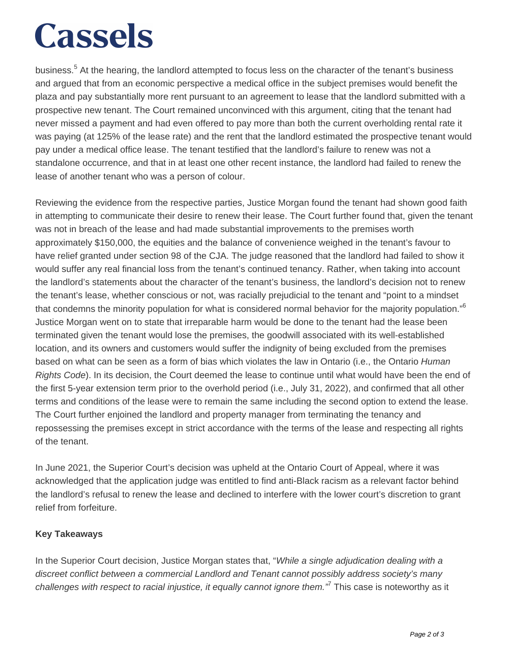# **Cassels**

business.<sup>5</sup> At the hearing, the landlord attempted to focus less on the character of the tenant's business and argued that from an economic perspective a medical office in the subject premises would benefit the plaza and pay substantially more rent pursuant to an agreement to lease that the landlord submitted with a prospective new tenant. The Court remained unconvinced with this argument, citing that the tenant had never missed a payment and had even offered to pay more than both the current overholding rental rate it was paying (at 125% of the lease rate) and the rent that the landlord estimated the prospective tenant would pay under a medical office lease. The tenant testified that the landlord's failure to renew was not a standalone occurrence, and that in at least one other recent instance, the landlord had failed to renew the lease of another tenant who was a person of colour.

Reviewing the evidence from the respective parties, Justice Morgan found the tenant had shown good faith in attempting to communicate their desire to renew their lease. The Court further found that, given the tenant was not in breach of the lease and had made substantial improvements to the premises worth approximately \$150,000, the equities and the balance of convenience weighed in the tenant's favour to have relief granted under section 98 of the CJA. The judge reasoned that the landlord had failed to show it would suffer any real financial loss from the tenant's continued tenancy. Rather, when taking into account the landlord's statements about the character of the tenant's business, the landlord's decision not to renew the tenant's lease, whether conscious or not, was racially prejudicial to the tenant and "point to a mindset that condemns the minority population for what is considered normal behavior for the majority population."<sup>6</sup> Justice Morgan went on to state that irreparable harm would be done to the tenant had the lease been terminated given the tenant would lose the premises, the goodwill associated with its well-established location, and its owners and customers would suffer the indignity of being excluded from the premises based on what can be seen as a form of bias which violates the law in Ontario (i.e., the Ontario Human Rights Code). In its decision, the Court deemed the lease to continue until what would have been the end of the first 5-year extension term prior to the overhold period (i.e., July 31, 2022), and confirmed that all other terms and conditions of the lease were to remain the same including the second option to extend the lease. The Court further enjoined the landlord and property manager from terminating the tenancy and repossessing the premises except in strict accordance with the terms of the lease and respecting all rights of the tenant.

In June 2021, the Superior Court's decision was upheld at the Ontario Court of Appeal, where it was acknowledged that the application judge was entitled to find anti-Black racism as a relevant factor behind the landlord's refusal to renew the lease and declined to interfere with the lower court's discretion to grant relief from forfeiture.

#### **Key Takeaways**

In the Superior Court decision, Justice Morgan states that, "While a single adjudication dealing with a discreet conflict between a commercial Landlord and Tenant cannot possibly address society's many challenges with respect to racial injustice, it equally cannot ignore them." This case is noteworthy as it